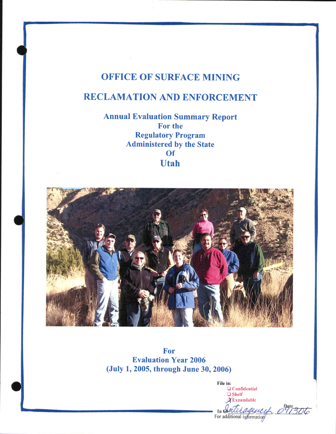## OFFICE OF SURFACE MINING

# RECLAMATION AND ENFORCEMENT

Annual Evaluation Summary Report For the Regulatory Program Administered by the State **Of** Utah



For Evaluation Year 2006 (Juty 1, 2005, through June 30, 2006)

File in:  $\square$  Confidential .  $Q$  Shelf **X**Expandable rteragement 091306 For additional information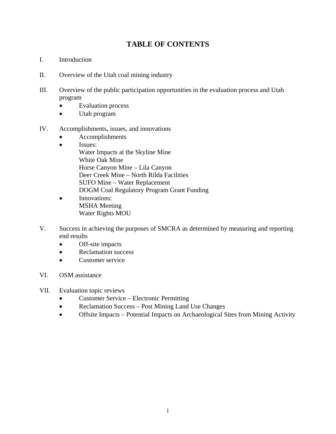## **TABLE OF CONTENTS**

- I. Introduction
- II. Overview of the Utah coal mining industry
- III. Overview of the public participation opportunities in the evaluation process and Utah program
	- Evaluation process
	- Utah program
- IV. Accomplishments, issues, and innovations
	- Accomplishments
	- Issues: Water Impacts at the Skyline Mine White Oak Mine Horse Canyon Mine – Lila Canyon Deer Creek Mine – North Rilda Facilities SUFO Mine – Water Replacement DOGM Coal Regulatory Program Grant Funding
	- Innovations: MSHA Meeting Water Rights MOU
- V. Success in achieving the purposes of SMCRA as determined by measuring and reporting end results
	- Off-site impacts
	- Reclamation success
	- Customer service
- VI. OSM assistance
- VII. Evaluation topic reviews
	- Customer Service Electronic Permitting
	- Reclamation Success Post Mining Land Use Changes
	- Offsite Impacts Potential Impacts on Archaeological Sites from Mining Activity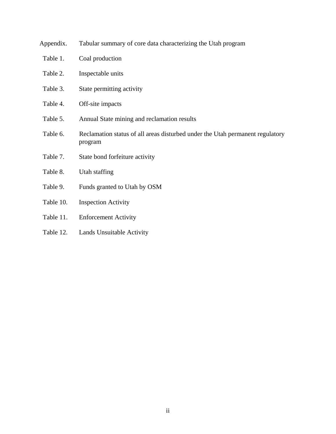| Appendix. | Tabular summary of core data characterizing the Utah program                             |  |
|-----------|------------------------------------------------------------------------------------------|--|
| Table 1.  | Coal production                                                                          |  |
| Table 2.  | Inspectable units                                                                        |  |
| Table 3.  | State permitting activity                                                                |  |
| Table 4.  | Off-site impacts                                                                         |  |
| Table 5.  | Annual State mining and reclamation results                                              |  |
| Table 6.  | Reclamation status of all areas disturbed under the Utah permanent regulatory<br>program |  |
| Table 7.  | State bond forfeiture activity                                                           |  |
| Table 8.  | Utah staffing                                                                            |  |
| Table 9.  | Funds granted to Utah by OSM                                                             |  |
| Table 10. | <b>Inspection Activity</b>                                                               |  |
| Table 11. | <b>Enforcement Activity</b>                                                              |  |
|           |                                                                                          |  |

Table 12. Lands Unsuitable Activity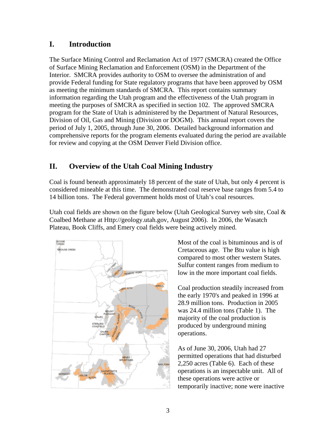#### **I. Introduction**

The Surface Mining Control and Reclamation Act of 1977 (SMCRA) created the Office of Surface Mining Reclamation and Enforcement (OSM) in the Department of the Interior. SMCRA provides authority to OSM to oversee the administration of and provide Federal funding for State regulatory programs that have been approved by OSM as meeting the minimum standards of SMCRA. This report contains summary information regarding the Utah program and the effectiveness of the Utah program in meeting the purposes of SMCRA as specified in section 102. The approved SMCRA program for the State of Utah is administered by the Department of Natural Resources, Division of Oil, Gas and Mining (Division or DOGM). This annual report covers the period of July 1, 2005, through June 30, 2006. Detailed background information and comprehensive reports for the program elements evaluated during the period are available for review and copying at the OSM Denver Field Division office.

## **II. Overview of the Utah Coal Mining Industry**

Coal is found beneath approximately 18 percent of the state of Utah, but only 4 percent is considered mineable at this time. The demonstrated coal reserve base ranges from 5.4 to 14 billion tons. The Federal government holds most of Utah's coal resources.

Utah coal fields are shown on the figure below (Utah Geological Survey web site, Coal & Coalbed Methane at Http://geology.utah.gov, August 2006). In 2006, the Wasatch Plateau, Book Cliffs, and Emery coal fields were being actively mined.



Most of the coal is bituminous and is of Cretaceous age. The Btu value is high compared to most other western States. Sulfur content ranges from medium to low in the more important coal fields.

Coal production steadily increased from the early 1970's and peaked in 1996 at 28.9 million tons. Production in 2005 was 24.4 million tons (Table 1). The majority of the coal production is produced by underground mining operations.

As of June 30, 2006, Utah had 27 permitted operations that had disturbed 2,250 acres (Table 6). Each of these operations is an inspectable unit. All of these operations were active or temporarily inactive; none were inactive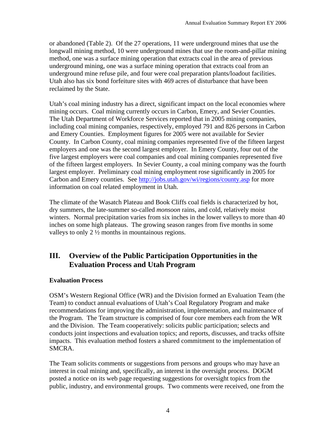or abandoned (Table 2). Of the 27 operations, 11 were underground mines that use the longwall mining method, 10 were underground mines that use the room-and-pillar mining method, one was a surface mining operation that extracts coal in the area of previous underground mining, one was a surface mining operation that extracts coal from an underground mine refuse pile, and four were coal preparation plants/loadout facilities. Utah also has six bond forfeiture sites with 469 acres of disturbance that have been reclaimed by the State.

Utah's coal mining industry has a direct, significant impact on the local economies where mining occurs. Coal mining currently occurs in Carbon, Emery, and Sevier Counties. The Utah Department of Workforce Services reported that in 2005 mining companies, including coal mining companies, respectively, employed 791 and 826 persons in Carbon and Emery Counties. Employment figures for 2005 were not available for Sevier County. In Carbon County, coal mining companies represented five of the fifteen largest employers and one was the second largest employer. In Emery County, four out of the five largest employers were coal companies and coal mining companies represented five of the fifteen largest employers. In Sevier County, a coal mining company was the fourth largest employer. Preliminary coal mining employment rose significantly in 2005 for Carbon and Emery counties. See http://jobs.utah.gov/wi/regions/county.asp for more information on coal related employment in Utah.

The climate of the Wasatch Plateau and Book Cliffs coal fields is characterized by hot, dry summers, the late-summer so-called *monsoon* rains, and cold, relatively moist winters. Normal precipitation varies from six inches in the lower valleys to more than 40 inches on some high plateaus. The growing season ranges from five months in some valleys to only 2 ½ months in mountainous regions.

## **III. Overview of the Public Participation Opportunities in the Evaluation Process and Utah Program**

#### **Evaluation Process**

OSM's Western Regional Office (WR) and the Division formed an Evaluation Team (the Team) to conduct annual evaluations of Utah's Coal Regulatory Program and make recommendations for improving the administration, implementation, and maintenance of the Program. The Team structure is comprised of four core members each from the WR and the Division. The Team cooperatively: solicits public participation; selects and conducts joint inspections and evaluation topics; and reports, discusses, and tracks offsite impacts. This evaluation method fosters a shared commitment to the implementation of SMCRA.

The Team solicits comments or suggestions from persons and groups who may have an interest in coal mining and, specifically, an interest in the oversight process. DOGM posted a notice on its web page requesting suggestions for oversight topics from the public, industry, and environmental groups. Two comments were received, one from the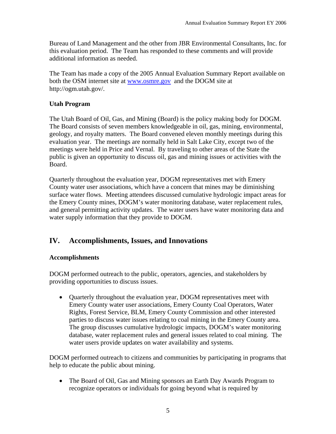Bureau of Land Management and the other from JBR Environmental Consultants, Inc. for this evaluation period. The Team has responded to these comments and will provide additional information as needed.

The Team has made a copy of the 2005 Annual Evaluation Summary Report available on both the OSM internet site at www.osmre.gov and the DOGM site at http://ogm.utah.gov/.

#### **Utah Program**

The Utah Board of Oil, Gas, and Mining (Board) is the policy making body for DOGM. The Board consists of seven members knowledgeable in oil, gas, mining, environmental, geology, and royalty matters. The Board convened eleven monthly meetings during this evaluation year. The meetings are normally held in Salt Lake City, except two of the meetings were held in Price and Vernal. By traveling to other areas of the State the public is given an opportunity to discuss oil, gas and mining issues or activities with the Board.

Quarterly throughout the evaluation year, DOGM representatives met with Emery County water user associations, which have a concern that mines may be diminishing surface water flows. Meeting attendees discussed cumulative hydrologic impact areas for the Emery County mines, DOGM's water monitoring database, water replacement rules, and general permitting activity updates. The water users have water monitoring data and water supply information that they provide to DOGM.

#### **IV. Accomplishments, Issues, and Innovations**

#### **Accomplishments**

DOGM performed outreach to the public, operators, agencies, and stakeholders by providing opportunities to discuss issues.

• Quarterly throughout the evaluation year, DOGM representatives meet with Emery County water user associations, Emery County Coal Operators, Water Rights, Forest Service, BLM, Emery County Commission and other interested parties to discuss water issues relating to coal mining in the Emery County area. The group discusses cumulative hydrologic impacts, DOGM's water monitoring database, water replacement rules and general issues related to coal mining. The water users provide updates on water availability and systems.

DOGM performed outreach to citizens and communities by participating in programs that help to educate the public about mining.

• The Board of Oil, Gas and Mining sponsors an Earth Day Awards Program to recognize operators or individuals for going beyond what is required by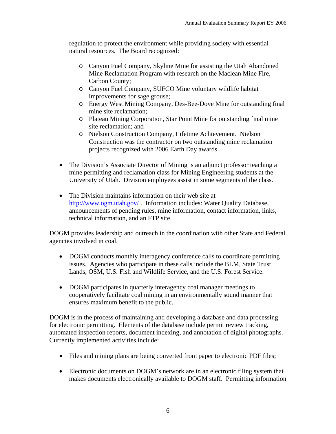regulation to protect the environment while providing society with essential natural resources. The Board recognized:

- o Canyon Fuel Company, Skyline Mine for assisting the Utah Abandoned Mine Reclamation Program with research on the Maclean Mine Fire, Carbon County;
- o Canyon Fuel Company, SUFCO Mine voluntary wildlife habitat improvements for sage grouse;
- o Energy West Mining Company, Des-Bee-Dove Mine for outstanding final mine site reclamation;
- o Plateau Mining Corporation, Star Point Mine for outstanding final mine site reclamation; and
- o Nielson Construction Company, Lifetime Achievement. Nielson Construction was the contractor on two outstanding mine reclamation projects recognized with 2006 Earth Day awards.
- The Division's Associate Director of Mining is an adjunct professor teaching a mine permitting and reclamation class for Mining Engineering students at the University of Utah. Division employees assist in some segments of the class.
- The Division maintains information on their web site at http://www.ogm.utah.gov/ . Information includes: Water Quality Database, announcements of pending rules, mine information, contact information, links, technical information, and an FTP site.

DOGM provides leadership and outreach in the coordination with other State and Federal agencies involved in coal.

- DOGM conducts monthly interagency conference calls to coordinate permitting issues. Agencies who participate in these calls include the BLM, State Trust Lands, OSM, U.S. Fish and Wildlife Service, and the U.S. Forest Service.
- DOGM participates in quarterly interagency coal manager meetings to cooperatively facilitate coal mining in an environmentally sound manner that ensures maximum benefit to the public.

DOGM is in the process of maintaining and developing a database and data processing for electronic permitting. Elements of the database include permit review tracking, automated inspection reports, document indexing, and annotation of digital photographs. Currently implemented activities include:

- Files and mining plans are being converted from paper to electronic PDF files;
- Electronic documents on DOGM's network are in an electronic filing system that makes documents electronically available to DOGM staff. Permitting information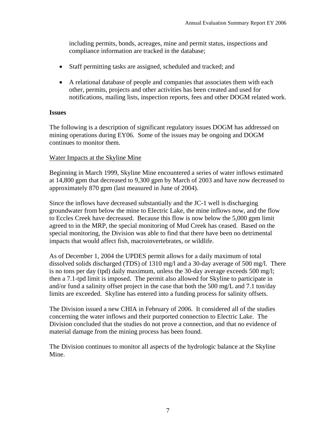including permits, bonds, acreages, mine and permit status, inspections and compliance information are tracked in the database;

- Staff permitting tasks are assigned, scheduled and tracked; and
- A relational database of people and companies that associates them with each other, permits, projects and other activities has been created and used for notifications, mailing lists, inspection reports, fees and other DOGM related work.

#### **Issues**

The following is a description of significant regulatory issues DOGM has addressed on mining operations during EY06. Some of the issues may be ongoing and DOGM continues to monitor them.

#### Water Impacts at the Skyline Mine

Beginning in March 1999, Skyline Mine encountered a series of water inflows estimated at 14,800 gpm that decreased to 9,300 gpm by March of 2003 and have now decreased to approximately 870 gpm (last measured in June of 2004).

Since the inflows have decreased substantially and the JC-1 well is discharging groundwater from below the mine to Electric Lake, the mine inflows now, and the flow to Eccles Creek have decreased. Because this flow is now below the 5,000 gpm limit agreed to in the MRP, the special monitoring of Mud Creek has ceased. Based on the special monitoring, the Division was able to find that there have been no detrimental impacts that would affect fish, macroinvertebrates, or wildlife.

As of December 1, 2004 the UPDES permit allows for a daily maximum of total dissolved solids discharged (TDS) of 1310 mg/l and a 30-day average of 500 mg/l. There is no tons per day (tpd) daily maximum, unless the 30-day average exceeds 500 mg/l; then a 7.1-tpd limit is imposed. The permit also allowed for Skyline to participate in and/or fund a salinity offset project in the case that both the 500 mg/L and 7.1 ton/day limits are exceeded. Skyline has entered into a funding process for salinity offsets.

The Division issued a new CHIA in February of 2006. It considered all of the studies concerning the water inflows and their purported connection to Electric Lake. The Division concluded that the studies do not prove a connection, and that no evidence of material damage from the mining process has been found.

The Division continues to monitor all aspects of the hydrologic balance at the Skyline Mine.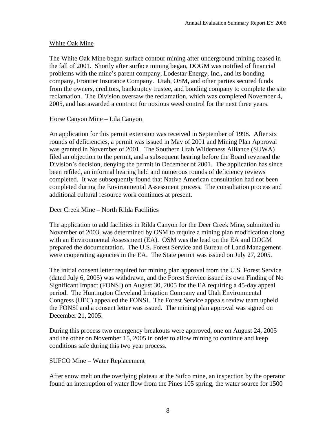#### White Oak Mine

The White Oak Mine began surface contour mining after underground mining ceased in the fall of 2001. Shortly after surface mining began, DOGM was notified of financial problems with the mine's parent company, Lodestar Energy, Inc.**,** and its bonding company, Frontier Insurance Company. Utah, OSM**,** and other parties secured funds from the owners, creditors, bankruptcy trustee, and bonding company to complete the site reclamation. The Division oversaw the reclamation, which was completed November 4, 2005, and has awarded a contract for noxious weed control for the next three years.

#### Horse Canyon Mine – Lila Canyon

An application for this permit extension was received in September of 1998. After six rounds of deficiencies, a permit was issued in May of 2001 and Mining Plan Approval was granted in November of 2001. The Southern Utah Wilderness Alliance (SUWA) filed an objection to the permit, and a subsequent hearing before the Board reversed the Division's decision, denying the permit in December of 2001. The application has since been refiled, an informal hearing held and numerous rounds of deficiency reviews completed. It was subsequently found that Native American consultation had not been completed during the Environmental Assessment process. The consultation process and additional cultural resource work continues at present.

#### Deer Creek Mine – North Rilda Facilities

The application to add facilities in Rilda Canyon for the Deer Creek Mine, submitted in November of 2003, was determined by OSM to require a mining plan modification along with an Environmental Assessment (EA). OSM was the lead on the EA and DOGM prepared the documentation. The U.S. Forest Service and Bureau of Land Management were cooperating agencies in the EA. The State permit was issued on July 27, 2005.

The initial consent letter required for mining plan approval from the U.S. Forest Service (dated July 6, 2005) was withdrawn, and the Forest Service issued its own Finding of No Significant Impact (FONSI) on August 30, 2005 for the EA requiring a 45-day appeal period. The Huntington Cleveland Irrigation Company and Utah Environmental Congress (UEC) appealed the FONSI. The Forest Service appeals review team upheld the FONSI and a consent letter was issued. The mining plan approval was signed on December 21, 2005.

During this process two emergency breakouts were approved, one on August 24, 2005 and the other on November 15, 2005 in order to allow mining to continue and keep conditions safe during this two year process.

#### SUFCO Mine – Water Replacement

After snow melt on the overlying plateau at the Sufco mine, an inspection by the operator found an interruption of water flow from the Pines 105 spring, the water source for 1500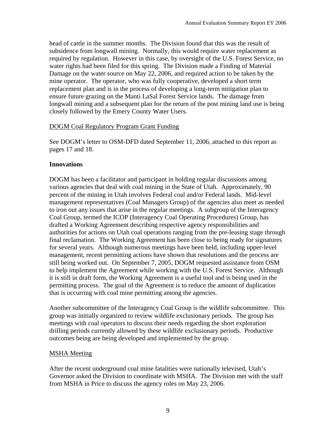head of cattle in the summer months. The Division found that this was the result of subsidence from longwall mining. Normally, this would require water replacement as required by regulation. However in this case, by oversight of the U.S. Forest Service, no water rights had been filed for this spring. The Division made a Finding of Material Damage on the water source on May 22, 2006, and required action to be taken by the mine operator. The operator, who was fully cooperative, developed a short term replacement plan and is in the process of developing a long-term mitigation plan to ensure future grazing on the Manti LaSal Forest Service lands. The damage from longwall mining and a subsequent plan for the return of the post mining land use is being closely followed by the Emery County Water Users.

#### DOGM Coal Regulatory Program Grant Funding

See DOGM's letter to OSM-DFD dated September 11, 2006, attached to this report as pages 17 and 18.

#### **Innovations**

DOGM has been a facilitator and participant in holding regular discussions among various agencies that deal with coal mining in the State of Utah. Approximately, 90 percent of the mining in Utah involves Federal coal and/or Federal lands. Mid-level management representatives (Coal Managers Group) of the agencies also meet as needed to iron out any issues that arise in the regular meetings. A subgroup of the Interagency Coal Group, termed the ICOP (Interagency Coal Operating Procedures) Group, has drafted a Working Agreement describing respective agency responsibilities and authorities for actions on Utah coal operations ranging from the pre-leasing stage through final reclamation. The Working Agreement has been close to being ready for signatures for several years. Although numerous meetings have been held, including upper-level management, recent permitting actions have shown that resolutions and the process are still being worked out. On September 7, 2005, DOGM requested assistance from OSM to help implement the Agreement while working with the U.S. Forest Service. Although it is still in draft form, the Working Agreement is a useful tool and is being used in the permitting process. The goal of the Agreement is to reduce the amount of duplication that is occurring with coal mine permitting among the agencies.

Another subcommittee of the Interagency Coal Group is the wildlife subcommittee. This group was initially organized to review wildlife exclusionary periods. The group has meetings with coal operators to discuss their needs regarding the short exploration drilling periods currently allowed by these wildlife exclusionary periods. Productive outcomes being are being developed and implemented by the group.

#### MSHA Meeting

After the recent underground coal mine fatalities were nationally televised, Utah's Governor asked the Division to coordinate with MSHA. The Division met with the staff from MSHA in Price to discuss the agency roles on May 23, 2006.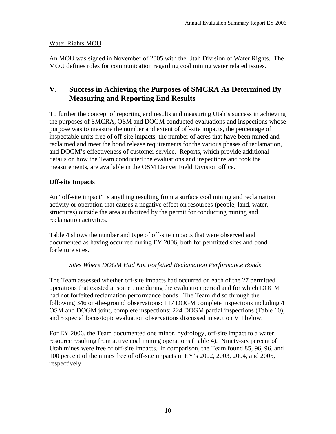#### Water Rights MOU

An MOU was signed in November of 2005 with the Utah Division of Water Rights. The MOU defines roles for communication regarding coal mining water related issues.

#### **V. Success in Achieving the Purposes of SMCRA As Determined By Measuring and Reporting End Results**

To further the concept of reporting end results and measuring Utah's success in achieving the purposes of SMCRA, OSM and DOGM conducted evaluations and inspections whose purpose was to measure the number and extent of off-site impacts, the percentage of inspectable units free of off-site impacts, the number of acres that have been mined and reclaimed and meet the bond release requirements for the various phases of reclamation, and DOGM's effectiveness of customer service. Reports, which provide additional details on how the Team conducted the evaluations and inspections and took the measurements, are available in the OSM Denver Field Division office.

#### **Off-site Impacts**

An "off-site impact" is anything resulting from a surface coal mining and reclamation activity or operation that causes a negative effect on resources (people, land, water, structures) outside the area authorized by the permit for conducting mining and reclamation activities.

Table 4 shows the number and type of off-site impacts that were observed and documented as having occurred during EY 2006, both for permitted sites and bond forfeiture sites.

#### *Sites Where DOGM Had Not Forfeited Reclamation Performance Bonds*

The Team assessed whether off-site impacts had occurred on each of the 27 permitted operations that existed at some time during the evaluation period and for which DOGM had not forfeited reclamation performance bonds. The Team did so through the following 346 on-the-ground observations: 117 DOGM complete inspections including 4 OSM and DOGM joint, complete inspections; 224 DOGM partial inspections (Table 10); and 5 special focus/topic evaluation observations discussed in section VII below.

For EY 2006, the Team documented one minor, hydrology, off-site impact to a water resource resulting from active coal mining operations (Table 4). Ninety-six percent of Utah mines were free of off-site impacts. In comparison, the Team found 85, 96, 96, and 100 percent of the mines free of off-site impacts in EY's 2002, 2003, 2004, and 2005, respectively.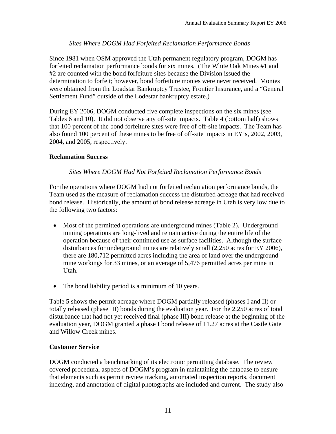#### *Sites Where DOGM Had Forfeited Reclamation Performance Bonds*

Since 1981 when OSM approved the Utah permanent regulatory program, DOGM has forfeited reclamation performance bonds for six mines. (The White Oak Mines #1 and #2 are counted with the bond forfeiture sites because the Division issued the determination to forfeit; however, bond forfeiture monies were never received. Monies were obtained from the Loadstar Bankruptcy Trustee, Frontier Insurance, and a "General Settlement Fund" outside of the Lodestar bankruptcy estate.)

During EY 2006, DOGM conducted five complete inspections on the six mines (see Tables 6 and 10). It did not observe any off-site impacts. Table 4 (bottom half) shows that 100 percent of the bond forfeiture sites were free of off-site impacts. The Team has also found 100 percent of these mines to be free of off-site impacts in EY's, 2002, 2003, 2004, and 2005, respectively.

#### **Reclamation Success**

#### *Sites Where DOGM Had Not Forfeited Reclamation Performance Bonds*

For the operations where DOGM had not forfeited reclamation performance bonds, the Team used as the measure of reclamation success the disturbed acreage that had received bond release. Historically, the amount of bond release acreage in Utah is very low due to the following two factors:

- Most of the permitted operations are underground mines (Table 2). Underground mining operations are long-lived and remain active during the entire life of the operation because of their continued use as surface facilities. Although the surface disturbances for underground mines are relatively small (2,250 acres for EY 2006), there are 180,712 permitted acres including the area of land over the underground mine workings for 33 mines, or an average of 5,476 permitted acres per mine in Utah.
- The bond liability period is a minimum of 10 years.

Table 5 shows the permit acreage where DOGM partially released (phases I and II) or totally released (phase III) bonds during the evaluation year. For the 2,250 acres of total disturbance that had not yet received final (phase III) bond release at the beginning of the evaluation year, DOGM granted a phase I bond release of 11.27 acres at the Castle Gate and Willow Creek mines.

#### **Customer Service**

DOGM conducted a benchmarking of its electronic permitting database. The review covered procedural aspects of DOGM's program in maintaining the database to ensure that elements such as permit review tracking, automated inspection reports, document indexing, and annotation of digital photographs are included and current. The study also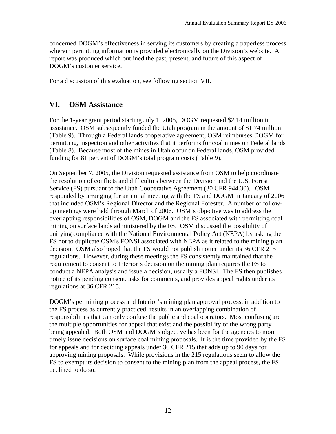concerned DOGM's effectiveness in serving its customers by creating a paperless process wherein permitting information is provided electronically on the Division's website. A report was produced which outlined the past, present, and future of this aspect of DOGM's customer service.

For a discussion of this evaluation, see following section VII.

#### **VI. OSM Assistance**

For the 1-year grant period starting July 1, 2005, DOGM requested \$2.14 million in assistance. OSM subsequently funded the Utah program in the amount of \$1.74 million (Table 9). Through a Federal lands cooperative agreement, OSM reimburses DOGM for permitting, inspection and other activities that it performs for coal mines on Federal lands (Table 8). Because most of the mines in Utah occur on Federal lands, OSM provided funding for 81 percent of DOGM's total program costs (Table 9).

On September 7, 2005, the Division requested assistance from OSM to help coordinate the resolution of conflicts and difficulties between the Division and the U.S. Forest Service (FS) pursuant to the Utah Cooperative Agreement (30 CFR 944.30). OSM responded by arranging for an initial meeting with the FS and DOGM in January of 2006 that included OSM's Regional Director and the Regional Forester. A number of followup meetings were held through March of 2006. OSM's objective was to address the overlapping responsibilities of OSM, DOGM and the FS associated with permitting coal mining on surface lands administered by the FS. OSM discussed the possibility of unifying compliance with the National Environmental Policy Act (NEPA) by asking the FS not to duplicate OSM's FONSI associated with NEPA as it related to the mining plan decision. OSM also hoped that the FS would not publish notice under its 36 CFR 215 regulations. However, during these meetings the FS consistently maintained that the requirement to consent to Interior's decision on the mining plan requires the FS to conduct a NEPA analysis and issue a decision, usually a FONSI. The FS then publishes notice of its pending consent, asks for comments, and provides appeal rights under its regulations at 36 CFR 215.

DOGM's permitting process and Interior's mining plan approval process, in addition to the FS process as currently practiced, results in an overlapping combination of responsibilities that can only confuse the public and coal operators. Most confusing are the multiple opportunities for appeal that exist and the possibility of the wrong party being appealed. Both OSM and DOGM's objective has been for the agencies to more timely issue decisions on surface coal mining proposals. It is the time provided by the FS for appeals and for deciding appeals under 36 CFR 215 that adds up to 90 days for approving mining proposals. While provisions in the 215 regulations seem to allow the FS to exempt its decision to consent to the mining plan from the appeal process, the FS declined to do so.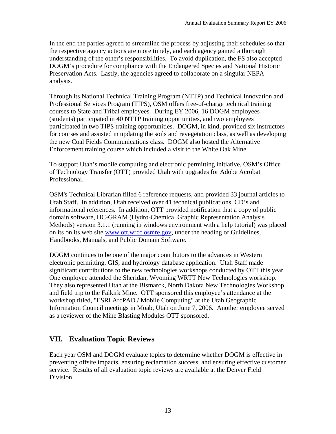In the end the parties agreed to streamline the process by adjusting their schedules so that the respective agency actions are more timely, and each agency gained a thorough understanding of the other's responsibilities. To avoid duplication, the FS also accepted DOGM's procedure for compliance with the Endangered Species and National Historic Preservation Acts. Lastly, the agencies agreed to collaborate on a singular NEPA analysis.

Through its National Technical Training Program (NTTP) and Technical Innovation and Professional Services Program (TIPS), OSM offers free-of-charge technical training courses to State and Tribal employees. During EY 2006, 16 DOGM employees (students) participated in 40 NTTP training opportunities, and two employees participated in two TIPS training opportunities. DOGM, in kind, provided six instructors for courses and assisted in updating the soils and revegetation class, as well as developing the new Coal Fields Communications class. DOGM also hosted the Alternative Enforcement training course which included a visit to the White Oak Mine.

To support Utah's mobile computing and electronic permitting initiative, OSM's Office of Technology Transfer (OTT) provided Utah with upgrades for Adobe Acrobat Professional.

OSM's Technical Librarian filled 6 reference requests, and provided 33 journal articles to Utah Staff. In addition, Utah received over 41 technical publications, CD's and informational references. In addition, OTT provided notification that a copy of public domain software, HC-GRAM (Hydro-Chemical Graphic Representation Analysis Methods) version 3.1.1 (running in windows environment with a help tutorial) was placed on its on its web site www.ott.wrcc.osmre.gov, under the heading of Guidelines, Handbooks, Manuals, and Public Domain Software.

DOGM continues to be one of the major contributors to the advances in Western electronic permitting, GIS, and hydrology database application. Utah Staff made significant contributions to the new technologies workshops conducted by OTT this year. One employee attended the Sheridan, Wyoming WRTT New Technologies workshop. They also represented Utah at the Bismarck, North Dakota New Technologies Workshop and field trip to the Falkirk Mine. OTT sponsored this employee's attendance at the workshop titled, "ESRI ArcPAD / Mobile Computing" at the Utah Geographic Information Council meetings in Moab, Utah on June 7, 2006. Another employee served as a reviewer of the Mine Blasting Modules OTT sponsored.

#### **VII. Evaluation Topic Reviews**

Each year OSM and DOGM evaluate topics to determine whether DOGM is effective in preventing offsite impacts, ensuring reclamation success, and ensuring effective customer service. Results of all evaluation topic reviews are available at the Denver Field Division.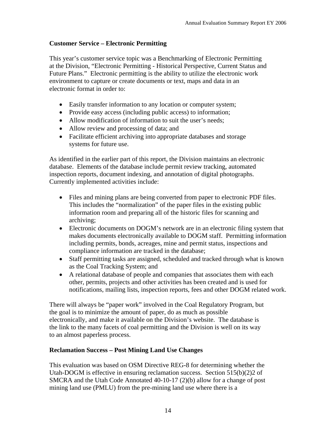#### **Customer Service – Electronic Permitting**

This year's customer service topic was a Benchmarking of Electronic Permitting at the Division, "Electronic Permitting - Historical Perspective, Current Status and Future Plans." Electronic permitting is the ability to utilize the electronic work environment to capture or create documents or text, maps and data in an electronic format in order to:

- Easily transfer information to any location or computer system;
- Provide easy access (including public access) to information;
- Allow modification of information to suit the user's needs;
- Allow review and processing of data; and
- Facilitate efficient archiving into appropriate databases and storage systems for future use.

As identified in the earlier part of this report, the Division maintains an electronic database. Elements of the database include permit review tracking, automated inspection reports, document indexing, and annotation of digital photographs. Currently implemented activities include:

- Files and mining plans are being converted from paper to electronic PDF files. This includes the "normalization" of the paper files in the existing public information room and preparing all of the historic files for scanning and archiving;
- Electronic documents on DOGM's network are in an electronic filing system that makes documents electronically available to DOGM staff. Permitting information including permits, bonds, acreages, mine and permit status, inspections and compliance information are tracked in the database;
- Staff permitting tasks are assigned, scheduled and tracked through what is known as the Coal Tracking System; and
- A relational database of people and companies that associates them with each other, permits, projects and other activities has been created and is used for notifications, mailing lists, inspection reports, fees and other DOGM related work.

There will always be "paper work" involved in the Coal Regulatory Program, but the goal is to minimize the amount of paper, do as much as possible electronically, and make it available on the Division's website. The database is the link to the many facets of coal permitting and the Division is well on its way to an almost paperless process.

#### **Reclamation Success – Post Mining Land Use Changes**

This evaluation was based on OSM Directive REG-8 for determining whether the Utah-DOGM is effective in ensuring reclamation success. Section  $515(b)(2)2$  of SMCRA and the Utah Code Annotated 40-10-17 (2)(b) allow for a change of post mining land use (PMLU) from the pre-mining land use where there is a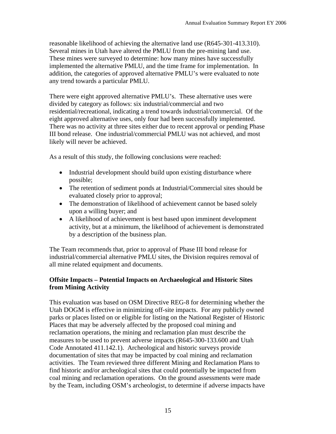reasonable likelihood of achieving the alternative land use (R645-301-413.310). Several mines in Utah have altered the PMLU from the pre-mining land use. These mines were surveyed to determine: how many mines have successfully implemented the alternative PMLU, and the time frame for implementation. In addition, the categories of approved alternative PMLU's were evaluated to note any trend towards a particular PMLU.

There were eight approved alternative PMLU's. These alternative uses were divided by category as follows: six industrial/commercial and two residential/recreational, indicating a trend towards industrial/commercial. Of the eight approved alternative uses, only four had been successfully implemented. There was no activity at three sites either due to recent approval or pending Phase III bond release. One industrial/commercial PMLU was not achieved, and most likely will never be achieved.

As a result of this study, the following conclusions were reached:

- Industrial development should build upon existing disturbance where possible;
- The retention of sediment ponds at Industrial/Commercial sites should be evaluated closely prior to approval;
- The demonstration of likelihood of achievement cannot be based solely upon a willing buyer; and
- A likelihood of achievement is best based upon imminent development activity, but at a minimum, the likelihood of achievement is demonstrated by a description of the business plan.

The Team recommends that, prior to approval of Phase III bond release for industrial/commercial alternative PMLU sites, the Division requires removal of all mine related equipment and documents.

#### **Offsite Impacts – Potential Impacts on Archaeological and Historic Sites from Mining Activity**

This evaluation was based on OSM Directive REG-8 for determining whether the Utah DOGM is effective in minimizing off-site impacts. For any publicly owned parks or places listed on or eligible for listing on the National Register of Historic Places that may be adversely affected by the proposed coal mining and reclamation operations, the mining and reclamation plan must describe the measures to be used to prevent adverse impacts (R645-300-133.600 and Utah Code Annotated 411.142.1). Archeological and historic surveys provide documentation of sites that may be impacted by coal mining and reclamation activities. The Team reviewed three different Mining and Reclamation Plans to find historic and/or archeological sites that could potentially be impacted from coal mining and reclamation operations. On the ground assessments were made by the Team, including OSM's archeologist, to determine if adverse impacts have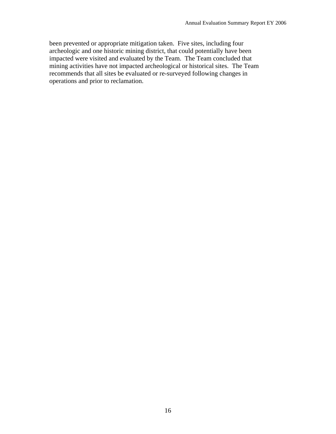been prevented or appropriate mitigation taken. Five sites, including four archeologic and one historic mining district, that could potentially have been impacted were visited and evaluated by the Team. The Team concluded that mining activities have not impacted archeological or historical sites. The Team recommends that all sites be evaluated or re-surveyed following changes in operations and prior to reclamation.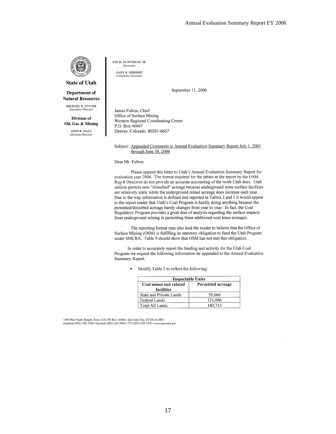

#### **State of Utah**

Department of **Natural Resources** 

MICHAEL R. STYLER Executive Direct

Division of Oil, Gas & Mining

> JOHN R. BAZA Division Director

JON M. HUNTSMAN, JR. Governor

**GARY R. HERBERT** Lieutenant Governo

September 11, 2006

James Fulton, Chief Office of Surface Mining Western Regional Coordinating Center P.O. Box 46667 Denver, Colorado. 80201-6667

#### Subject: Appended Comments to Annual Evaluation Summary Report July 1, 2005 through June 30, 2006

Dear Mr. Fulton:

Please append this letter to Utah's Annual Evaluation Summary Report for evaluation year 2006. The format required for the tables in the report by the OSM Reg-8 Directive do not provide an accurate accounting of the work Utah does. Utah seldom permits new "disturbed" acreage because underground mine surface facilities are relatively static while the underground mined acreage does increase each year. Due to the way information is defined and reported in Tables 2 and 3 it would appear to the report reader that Utah's Coal Program is hardly doing anything because the permitted/disturbed acreage barely changes from year to year. In fact, the Coal Regulatory Program provides a great deal of analysis regarding the surface impacts from underground mining in permitting these additional coal lease acreages.

The reporting format may also lead the reader to believe that the Office of Surface Mining (OSM) is fulfilling its statutory obligation to fund the Utah Program under SMCRA. Table 9 should show that OSM has not met this obligation.

In order to accurately report the funding and activity for the Utah Coal Program we request the following information be appended to the Annual Evaluation Summary Report.

Modify Table 2 to reflect the following:

| <b>Inspectable Units</b>             |                   |  |  |  |
|--------------------------------------|-------------------|--|--|--|
| Coal mines and related<br>facilities | Permitted acreage |  |  |  |
| State and Private Lands              | 59,666            |  |  |  |
| Federal Lands                        | 121,046           |  |  |  |
| Total All Lands                      | 180.713           |  |  |  |

1594 West North Temple, Suite 1210, PO Box 145801, Salt Lake City, UT 84114-5801<br>telephone (801) 538-5340 • facsimile (801) 359-3940 • TTY (801) 538-7458 • www.ogm.utah.gov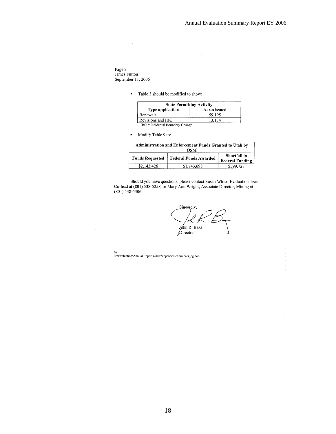Page 2<br>James Fulton<br>September 11, 2006

Table 3 should be modified to show:

| <b>State Permitting Activity</b> |              |  |  |  |
|----------------------------------|--------------|--|--|--|
| <b>Type application</b>          | Acres issued |  |  |  |
| Renewals                         | 59.195       |  |  |  |
| Revisions and IBC                | 13 134       |  |  |  |
| IBC = Incidental Boundary Change |              |  |  |  |

 $\blacksquare$ Modify Table 9 to:

| Administration and Enforcement Funds Granted to Utah by<br>OSM |                              |                                        |  |  |
|----------------------------------------------------------------|------------------------------|----------------------------------------|--|--|
| <b>Funds Requested</b>                                         | <b>Federal Funds Awarded</b> | Shortfall in<br><b>Federal Funding</b> |  |  |
| \$2,143,426                                                    | \$1,743,698                  | \$399.728                              |  |  |

Should you have questions, please contact Susan White, Evaluation Team Co-lead at (801) 538-5258, or Mary Ann Wright, Associate Director, Mining at (801) 538-5306.

Sineerely, John R. Baza  $\beta$ irector

an <br>O:\Evaluation\Annual Reports\2006\appended comments\_pg.doc